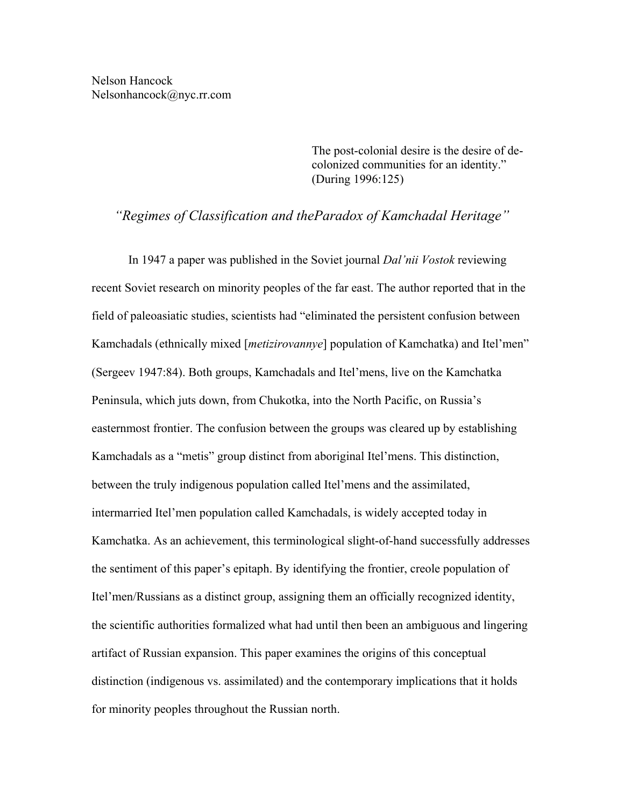The post-colonial desire is the desire of decolonized communities for an identity." (During 1996:125)

*"Regimes of Classification and theParadox of Kamchadal Heritage"* 

 In 1947 a paper was published in the Soviet journal *Dal'nii Vostok* reviewing recent Soviet research on minority peoples of the far east. The author reported that in the field of paleoasiatic studies, scientists had "eliminated the persistent confusion between Kamchadals (ethnically mixed [*metizirovannye*] population of Kamchatka) and Itel'men" (Sergeev 1947:84). Both groups, Kamchadals and Itel'mens, live on the Kamchatka Peninsula, which juts down, from Chukotka, into the North Pacific, on Russia's easternmost frontier. The confusion between the groups was cleared up by establishing Kamchadals as a "metis" group distinct from aboriginal Itel'mens. This distinction, between the truly indigenous population called Itel'mens and the assimilated, intermarried Itel'men population called Kamchadals, is widely accepted today in Kamchatka. As an achievement, this terminological slight-of-hand successfully addresses the sentiment of this paper's epitaph. By identifying the frontier, creole population of Itel'men/Russians as a distinct group, assigning them an officially recognized identity, the scientific authorities formalized what had until then been an ambiguous and lingering artifact of Russian expansion. This paper examines the origins of this conceptual distinction (indigenous vs. assimilated) and the contemporary implications that it holds for minority peoples throughout the Russian north.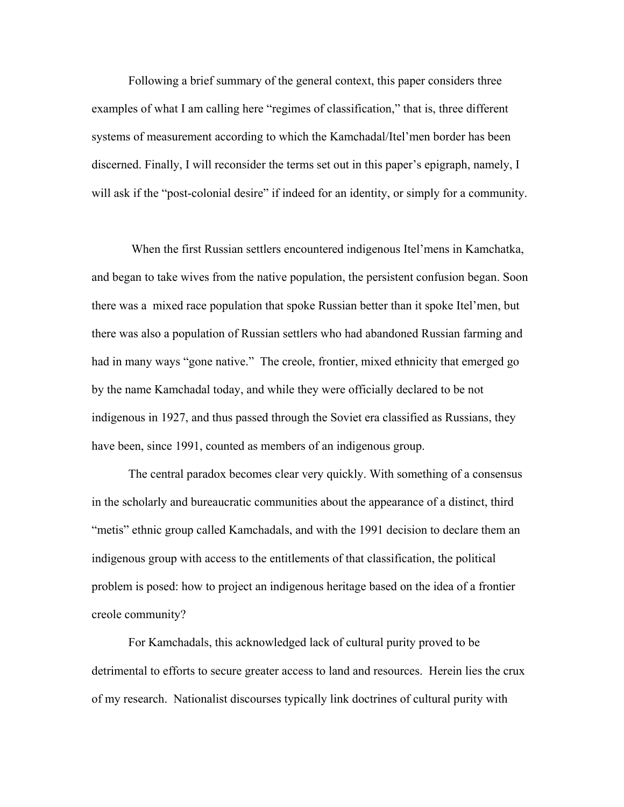Following a brief summary of the general context, this paper considers three examples of what I am calling here "regimes of classification," that is, three different systems of measurement according to which the Kamchadal/Itel'men border has been discerned. Finally, I will reconsider the terms set out in this paper's epigraph, namely, I will ask if the "post-colonial desire" if indeed for an identity, or simply for a community.

 When the first Russian settlers encountered indigenous Itel'mens in Kamchatka, and began to take wives from the native population, the persistent confusion began. Soon there was a mixed race population that spoke Russian better than it spoke Itel'men, but there was also a population of Russian settlers who had abandoned Russian farming and had in many ways "gone native." The creole, frontier, mixed ethnicity that emerged go by the name Kamchadal today, and while they were officially declared to be not indigenous in 1927, and thus passed through the Soviet era classified as Russians, they have been, since 1991, counted as members of an indigenous group.

 The central paradox becomes clear very quickly. With something of a consensus in the scholarly and bureaucratic communities about the appearance of a distinct, third "metis" ethnic group called Kamchadals, and with the 1991 decision to declare them an indigenous group with access to the entitlements of that classification, the political problem is posed: how to project an indigenous heritage based on the idea of a frontier creole community?

For Kamchadals, this acknowledged lack of cultural purity proved to be detrimental to efforts to secure greater access to land and resources. Herein lies the crux of my research. Nationalist discourses typically link doctrines of cultural purity with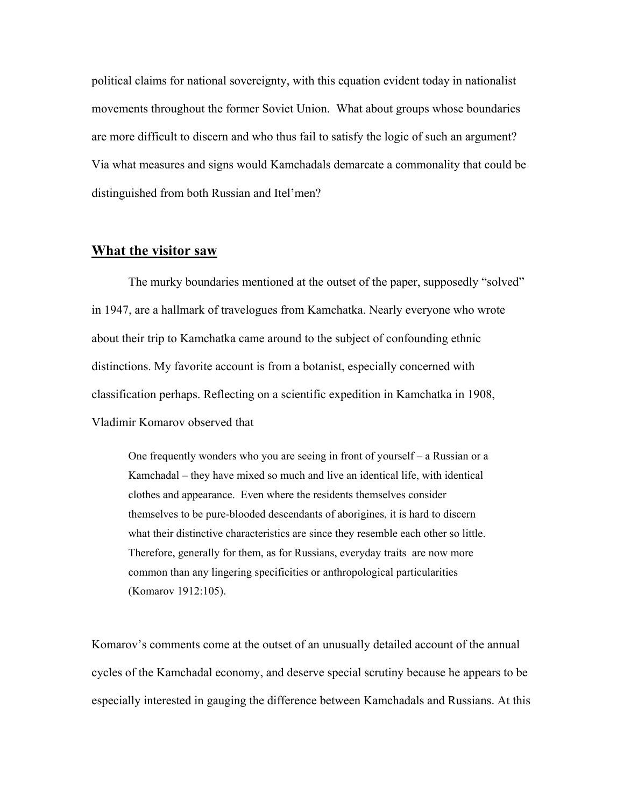political claims for national sovereignty, with this equation evident today in nationalist movements throughout the former Soviet Union. What about groups whose boundaries are more difficult to discern and who thus fail to satisfy the logic of such an argument? Via what measures and signs would Kamchadals demarcate a commonality that could be distinguished from both Russian and Itel'men?

# **What the visitor saw**

The murky boundaries mentioned at the outset of the paper, supposedly "solved" in 1947, are a hallmark of travelogues from Kamchatka. Nearly everyone who wrote about their trip to Kamchatka came around to the subject of confounding ethnic distinctions. My favorite account is from a botanist, especially concerned with classification perhaps. Reflecting on a scientific expedition in Kamchatka in 1908, Vladimir Komarov observed that

One frequently wonders who you are seeing in front of yourself – a Russian or a Kamchadal – they have mixed so much and live an identical life, with identical clothes and appearance. Even where the residents themselves consider themselves to be pure-blooded descendants of aborigines, it is hard to discern what their distinctive characteristics are since they resemble each other so little. Therefore, generally for them, as for Russians, everyday traits are now more common than any lingering specificities or anthropological particularities (Komarov 1912:105).

Komarov's comments come at the outset of an unusually detailed account of the annual cycles of the Kamchadal economy, and deserve special scrutiny because he appears to be especially interested in gauging the difference between Kamchadals and Russians. At this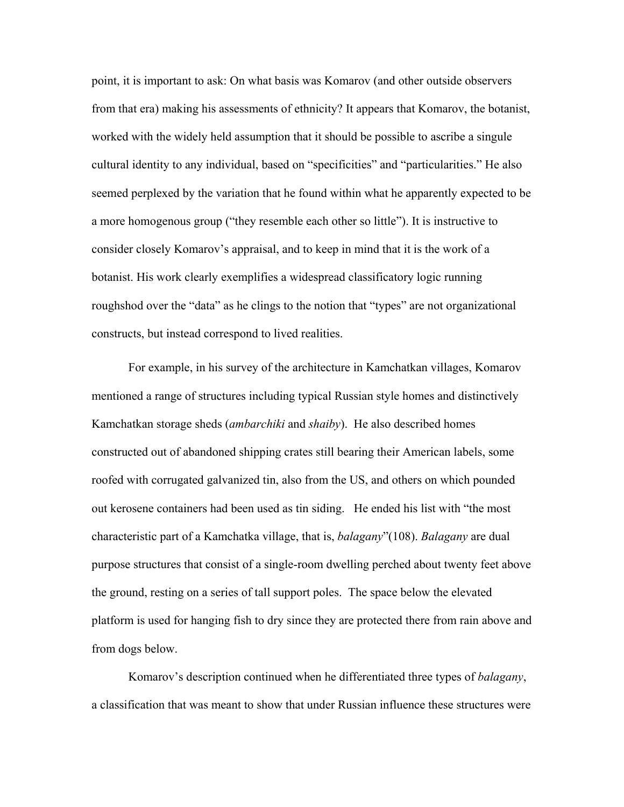point, it is important to ask: On what basis was Komarov (and other outside observers from that era) making his assessments of ethnicity? It appears that Komarov, the botanist, worked with the widely held assumption that it should be possible to ascribe a singule cultural identity to any individual, based on "specificities" and "particularities." He also seemed perplexed by the variation that he found within what he apparently expected to be a more homogenous group ("they resemble each other so little"). It is instructive to consider closely Komarov's appraisal, and to keep in mind that it is the work of a botanist. His work clearly exemplifies a widespread classificatory logic running roughshod over the "data" as he clings to the notion that "types" are not organizational constructs, but instead correspond to lived realities.

For example, in his survey of the architecture in Kamchatkan villages, Komarov mentioned a range of structures including typical Russian style homes and distinctively Kamchatkan storage sheds (*ambarchiki* and *shaiby*). He also described homes constructed out of abandoned shipping crates still bearing their American labels, some roofed with corrugated galvanized tin, also from the US, and others on which pounded out kerosene containers had been used as tin siding. He ended his list with "the most characteristic part of a Kamchatka village, that is, *balagany*"(108). *Balagany* are dual purpose structures that consist of a single-room dwelling perched about twenty feet above the ground, resting on a series of tall support poles. The space below the elevated platform is used for hanging fish to dry since they are protected there from rain above and from dogs below.

Komarov's description continued when he differentiated three types of *balagany*, a classification that was meant to show that under Russian influence these structures were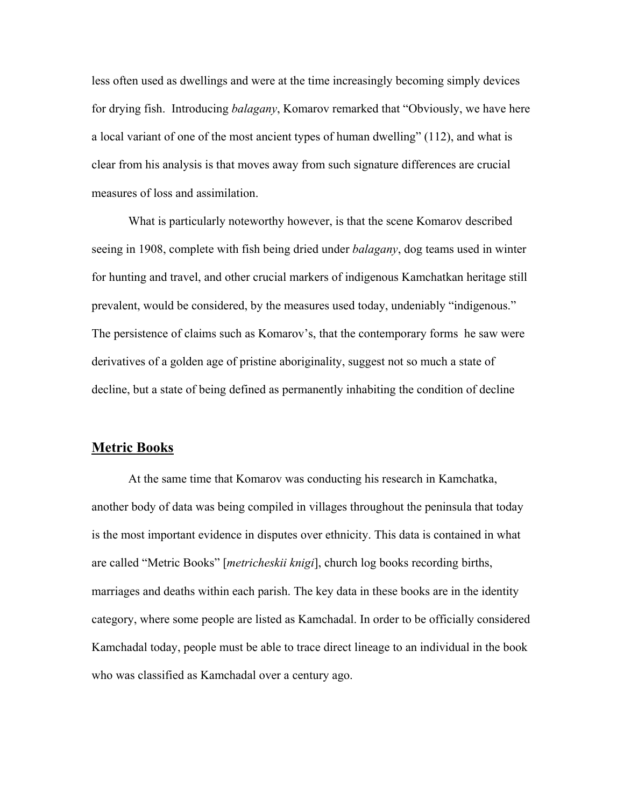less often used as dwellings and were at the time increasingly becoming simply devices for drying fish. Introducing *balagany*, Komarov remarked that "Obviously, we have here a local variant of one of the most ancient types of human dwelling" (112), and what is clear from his analysis is that moves away from such signature differences are crucial measures of loss and assimilation.

What is particularly noteworthy however, is that the scene Komarov described seeing in 1908, complete with fish being dried under *balagany*, dog teams used in winter for hunting and travel, and other crucial markers of indigenous Kamchatkan heritage still prevalent, would be considered, by the measures used today, undeniably "indigenous." The persistence of claims such as Komarov's, that the contemporary forms he saw were derivatives of a golden age of pristine aboriginality, suggest not so much a state of decline, but a state of being defined as permanently inhabiting the condition of decline

## **Metric Books**

 At the same time that Komarov was conducting his research in Kamchatka, another body of data was being compiled in villages throughout the peninsula that today is the most important evidence in disputes over ethnicity. This data is contained in what are called "Metric Books" [*metricheskii knigi*], church log books recording births, marriages and deaths within each parish. The key data in these books are in the identity category, where some people are listed as Kamchadal. In order to be officially considered Kamchadal today, people must be able to trace direct lineage to an individual in the book who was classified as Kamchadal over a century ago.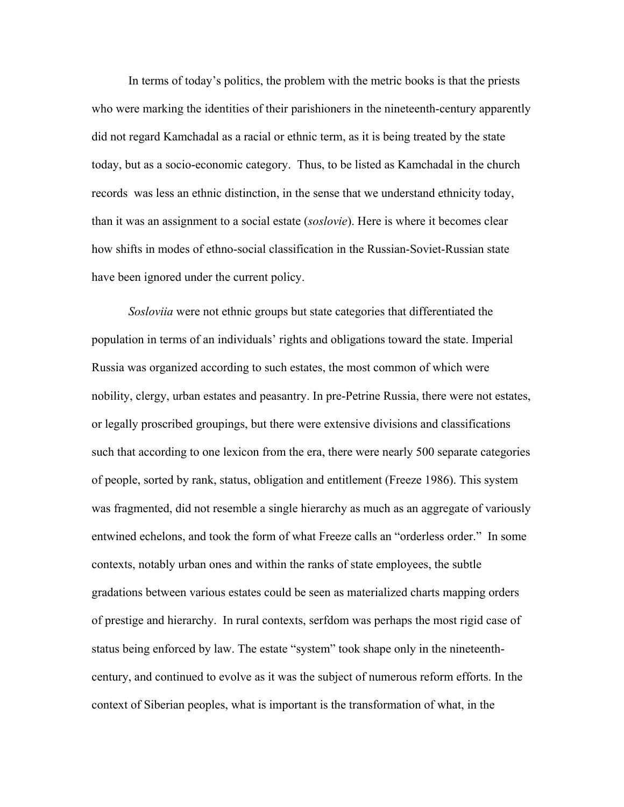In terms of today's politics, the problem with the metric books is that the priests who were marking the identities of their parishioners in the nineteenth-century apparently did not regard Kamchadal as a racial or ethnic term, as it is being treated by the state today, but as a socio-economic category. Thus, to be listed as Kamchadal in the church records was less an ethnic distinction, in the sense that we understand ethnicity today, than it was an assignment to a social estate (*soslovie*). Here is where it becomes clear how shifts in modes of ethno-social classification in the Russian-Soviet-Russian state have been ignored under the current policy.

*Sosloviia* were not ethnic groups but state categories that differentiated the population in terms of an individuals' rights and obligations toward the state. Imperial Russia was organized according to such estates, the most common of which were nobility, clergy, urban estates and peasantry. In pre-Petrine Russia, there were not estates, or legally proscribed groupings, but there were extensive divisions and classifications such that according to one lexicon from the era, there were nearly 500 separate categories of people, sorted by rank, status, obligation and entitlement (Freeze 1986). This system was fragmented, did not resemble a single hierarchy as much as an aggregate of variously entwined echelons, and took the form of what Freeze calls an "orderless order." In some contexts, notably urban ones and within the ranks of state employees, the subtle gradations between various estates could be seen as materialized charts mapping orders of prestige and hierarchy. In rural contexts, serfdom was perhaps the most rigid case of status being enforced by law. The estate "system" took shape only in the nineteenthcentury, and continued to evolve as it was the subject of numerous reform efforts. In the context of Siberian peoples, what is important is the transformation of what, in the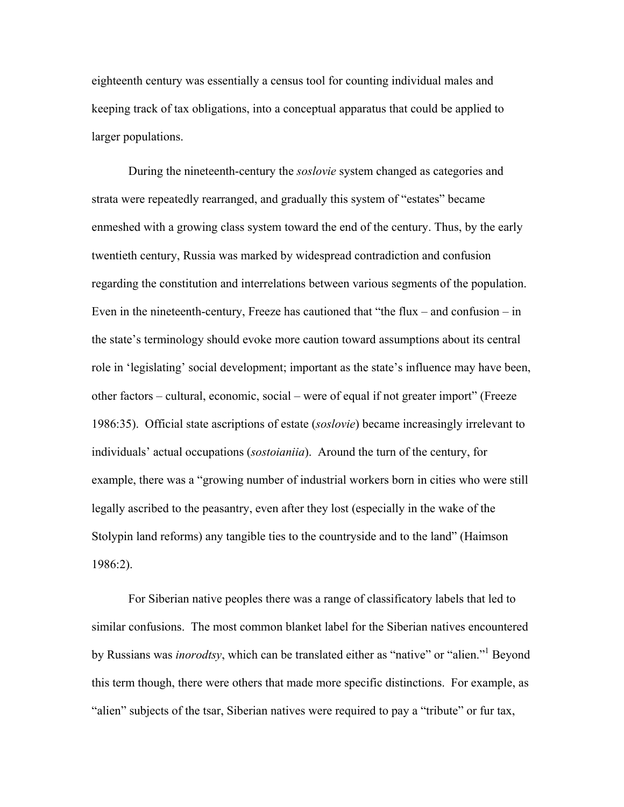eighteenth century was essentially a census tool for counting individual males and keeping track of tax obligations, into a conceptual apparatus that could be applied to larger populations.

During the nineteenth-century the *soslovie* system changed as categories and strata were repeatedly rearranged, and gradually this system of "estates" became enmeshed with a growing class system toward the end of the century. Thus, by the early twentieth century, Russia was marked by widespread contradiction and confusion regarding the constitution and interrelations between various segments of the population. Even in the nineteenth-century, Freeze has cautioned that "the flux – and confusion – in the state's terminology should evoke more caution toward assumptions about its central role in 'legislating' social development; important as the state's influence may have been, other factors – cultural, economic, social – were of equal if not greater import" (Freeze 1986:35). Official state ascriptions of estate (*soslovie*) became increasingly irrelevant to individuals' actual occupations (*sostoianiia*). Around the turn of the century, for example, there was a "growing number of industrial workers born in cities who were still legally ascribed to the peasantry, even after they lost (especially in the wake of the Stolypin land reforms) any tangible ties to the countryside and to the land" (Haimson 1986:2).

For Siberian native peoples there was a range of classificatory labels that led to similar confusions. The most common blanket label for the Siberian natives encountered by Russians was *inorodtsy*, which can be translated either as "native" or "alien."<sup>[1](#page-19-0)</sup> Beyond this term though, there were others that made more specific distinctions. For example, as "alien" subjects of the tsar, Siberian natives were required to pay a "tribute" or fur tax,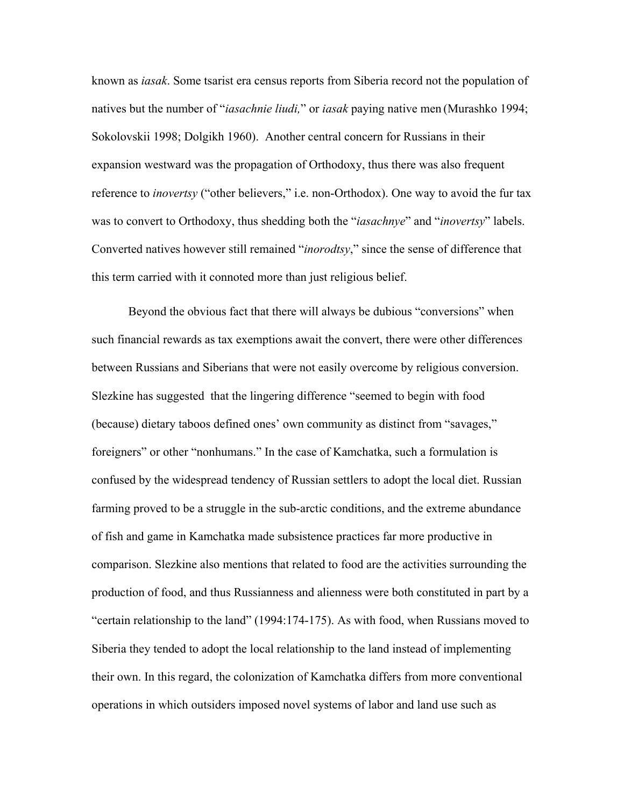known as *iasak*. Some tsarist era census reports from Siberia record not the population of natives but the number of "*iasachnie liudi,*" or *iasak* paying native men (Murashko 1994; Sokolovskii 1998; Dolgikh 1960). Another central concern for Russians in their expansion westward was the propagation of Orthodoxy, thus there was also frequent reference to *inovertsy* ("other believers," i.e. non-Orthodox). One way to avoid the fur tax was to convert to Orthodoxy, thus shedding both the "*iasachnye*" and "*inovertsy*" labels. Converted natives however still remained "*inorodtsy*," since the sense of difference that this term carried with it connoted more than just religious belief.

Beyond the obvious fact that there will always be dubious "conversions" when such financial rewards as tax exemptions await the convert, there were other differences between Russians and Siberians that were not easily overcome by religious conversion. Slezkine has suggested that the lingering difference "seemed to begin with food (because) dietary taboos defined ones' own community as distinct from "savages," foreigners" or other "nonhumans." In the case of Kamchatka, such a formulation is confused by the widespread tendency of Russian settlers to adopt the local diet. Russian farming proved to be a struggle in the sub-arctic conditions, and the extreme abundance of fish and game in Kamchatka made subsistence practices far more productive in comparison. Slezkine also mentions that related to food are the activities surrounding the production of food, and thus Russianness and alienness were both constituted in part by a "certain relationship to the land" (1994:174-175). As with food, when Russians moved to Siberia they tended to adopt the local relationship to the land instead of implementing their own. In this regard, the colonization of Kamchatka differs from more conventional operations in which outsiders imposed novel systems of labor and land use such as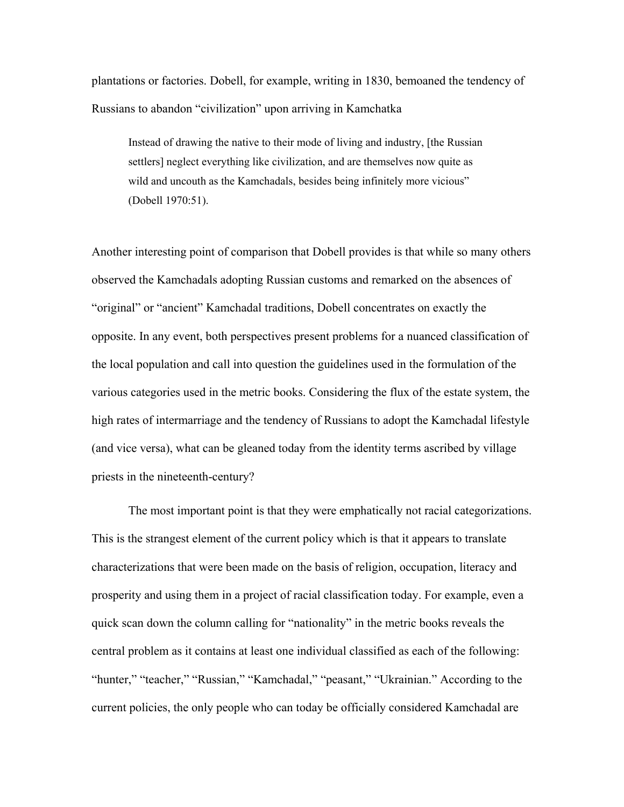plantations or factories. Dobell, for example, writing in 1830, bemoaned the tendency of Russians to abandon "civilization" upon arriving in Kamchatka

Instead of drawing the native to their mode of living and industry, [the Russian settlers] neglect everything like civilization, and are themselves now quite as wild and uncouth as the Kamchadals, besides being infinitely more vicious" (Dobell 1970:51).

Another interesting point of comparison that Dobell provides is that while so many others observed the Kamchadals adopting Russian customs and remarked on the absences of "original" or "ancient" Kamchadal traditions, Dobell concentrates on exactly the opposite. In any event, both perspectives present problems for a nuanced classification of the local population and call into question the guidelines used in the formulation of the various categories used in the metric books. Considering the flux of the estate system, the high rates of intermarriage and the tendency of Russians to adopt the Kamchadal lifestyle (and vice versa), what can be gleaned today from the identity terms ascribed by village priests in the nineteenth-century?

 The most important point is that they were emphatically not racial categorizations. This is the strangest element of the current policy which is that it appears to translate characterizations that were been made on the basis of religion, occupation, literacy and prosperity and using them in a project of racial classification today. For example, even a quick scan down the column calling for "nationality" in the metric books reveals the central problem as it contains at least one individual classified as each of the following: "hunter," "teacher," "Russian," "Kamchadal," "peasant," "Ukrainian." According to the current policies, the only people who can today be officially considered Kamchadal are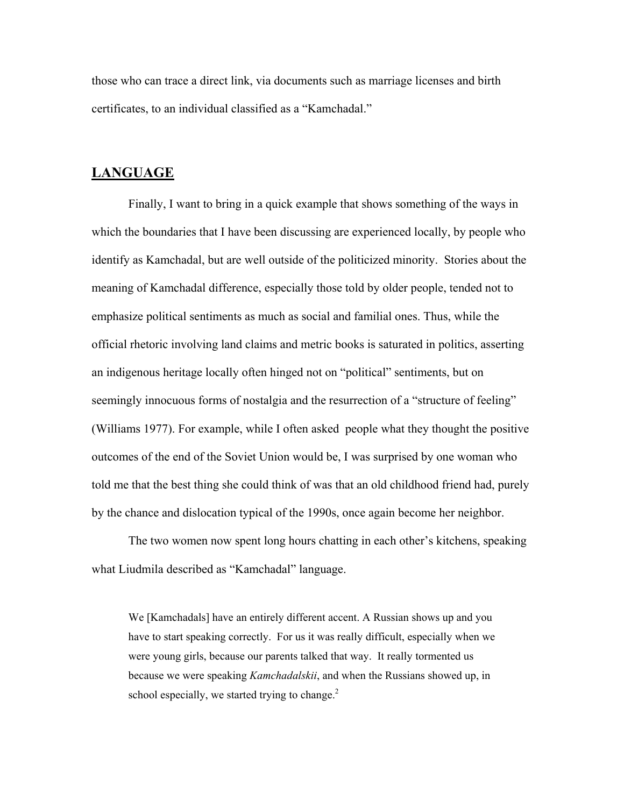those who can trace a direct link, via documents such as marriage licenses and birth certificates, to an individual classified as a "Kamchadal."

# **LANGUAGE**

Finally, I want to bring in a quick example that shows something of the ways in which the boundaries that I have been discussing are experienced locally, by people who identify as Kamchadal, but are well outside of the politicized minority. Stories about the meaning of Kamchadal difference, especially those told by older people, tended not to emphasize political sentiments as much as social and familial ones. Thus, while the official rhetoric involving land claims and metric books is saturated in politics, asserting an indigenous heritage locally often hinged not on "political" sentiments, but on seemingly innocuous forms of nostalgia and the resurrection of a "structure of feeling" (Williams 1977). For example, while I often asked people what they thought the positive outcomes of the end of the Soviet Union would be, I was surprised by one woman who told me that the best thing she could think of was that an old childhood friend had, purely by the chance and dislocation typical of the 1990s, once again become her neighbor.

The two women now spent long hours chatting in each other's kitchens, speaking what Liudmila described as "Kamchadal" language.

We [Kamchadals] have an entirely different accent. A Russian shows up and you have to start speaking correctly. For us it was really difficult, especially when we were young girls, because our parents talked that way. It really tormented us because we were speaking *Kamchadalskii*, and when the Russians showed up, in school especially, we started trying to change.<sup>[2](#page-19-1)</sup>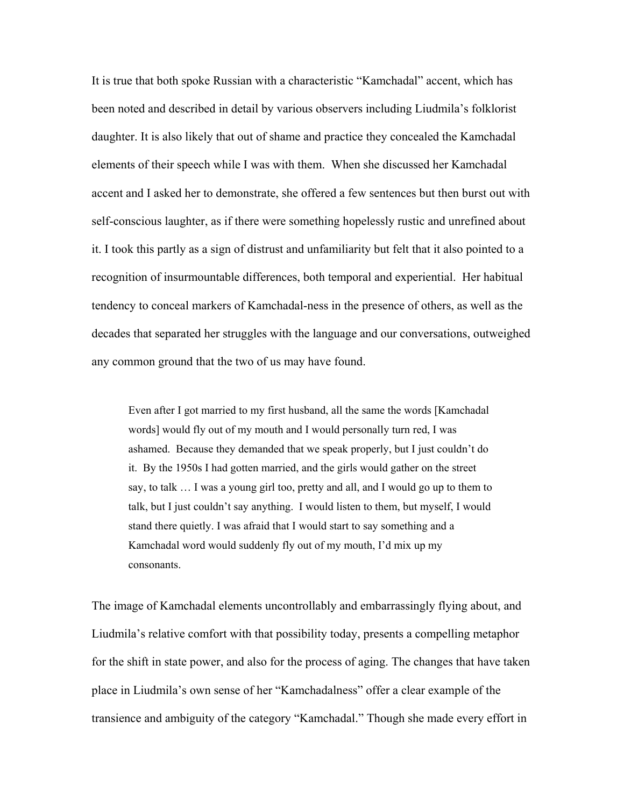It is true that both spoke Russian with a characteristic "Kamchadal" accent, which has been noted and described in detail by various observers including Liudmila's folklorist daughter. It is also likely that out of shame and practice they concealed the Kamchadal elements of their speech while I was with them. When she discussed her Kamchadal accent and I asked her to demonstrate, she offered a few sentences but then burst out with self-conscious laughter, as if there were something hopelessly rustic and unrefined about it. I took this partly as a sign of distrust and unfamiliarity but felt that it also pointed to a recognition of insurmountable differences, both temporal and experiential. Her habitual tendency to conceal markers of Kamchadal-ness in the presence of others, as well as the decades that separated her struggles with the language and our conversations, outweighed any common ground that the two of us may have found.

Even after I got married to my first husband, all the same the words [Kamchadal words] would fly out of my mouth and I would personally turn red, I was ashamed. Because they demanded that we speak properly, but I just couldn't do it. By the 1950s I had gotten married, and the girls would gather on the street say, to talk … I was a young girl too, pretty and all, and I would go up to them to talk, but I just couldn't say anything. I would listen to them, but myself, I would stand there quietly. I was afraid that I would start to say something and a Kamchadal word would suddenly fly out of my mouth, I'd mix up my consonants.

The image of Kamchadal elements uncontrollably and embarrassingly flying about, and Liudmila's relative comfort with that possibility today, presents a compelling metaphor for the shift in state power, and also for the process of aging. The changes that have taken place in Liudmila's own sense of her "Kamchadalness" offer a clear example of the transience and ambiguity of the category "Kamchadal." Though she made every effort in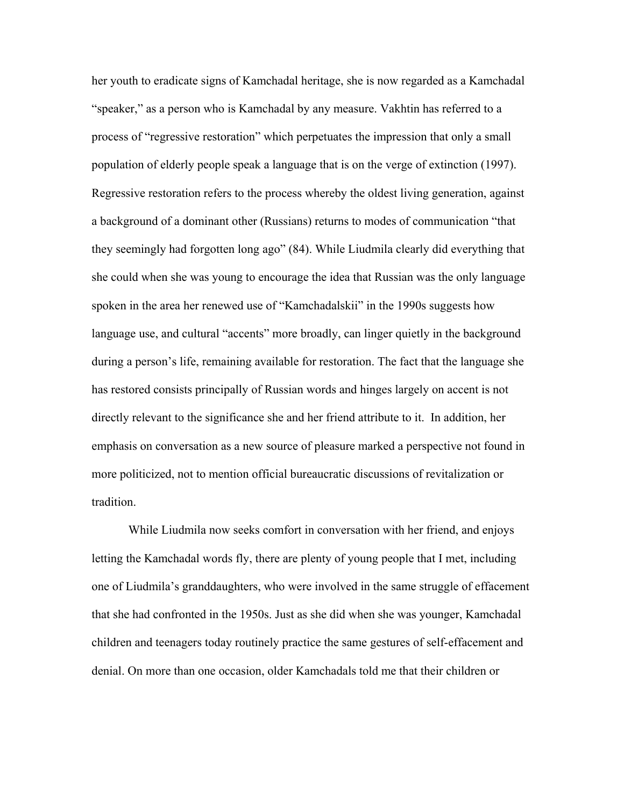her youth to eradicate signs of Kamchadal heritage, she is now regarded as a Kamchadal "speaker," as a person who is Kamchadal by any measure. Vakhtin has referred to a process of "regressive restoration" which perpetuates the impression that only a small population of elderly people speak a language that is on the verge of extinction (1997). Regressive restoration refers to the process whereby the oldest living generation, against a background of a dominant other (Russians) returns to modes of communication "that they seemingly had forgotten long ago" (84). While Liudmila clearly did everything that she could when she was young to encourage the idea that Russian was the only language spoken in the area her renewed use of "Kamchadalskii" in the 1990s suggests how language use, and cultural "accents" more broadly, can linger quietly in the background during a person's life, remaining available for restoration. The fact that the language she has restored consists principally of Russian words and hinges largely on accent is not directly relevant to the significance she and her friend attribute to it. In addition, her emphasis on conversation as a new source of pleasure marked a perspective not found in more politicized, not to mention official bureaucratic discussions of revitalization or tradition.

While Liudmila now seeks comfort in conversation with her friend, and enjoys letting the Kamchadal words fly, there are plenty of young people that I met, including one of Liudmila's granddaughters, who were involved in the same struggle of effacement that she had confronted in the 1950s. Just as she did when she was younger, Kamchadal children and teenagers today routinely practice the same gestures of self-effacement and denial. On more than one occasion, older Kamchadals told me that their children or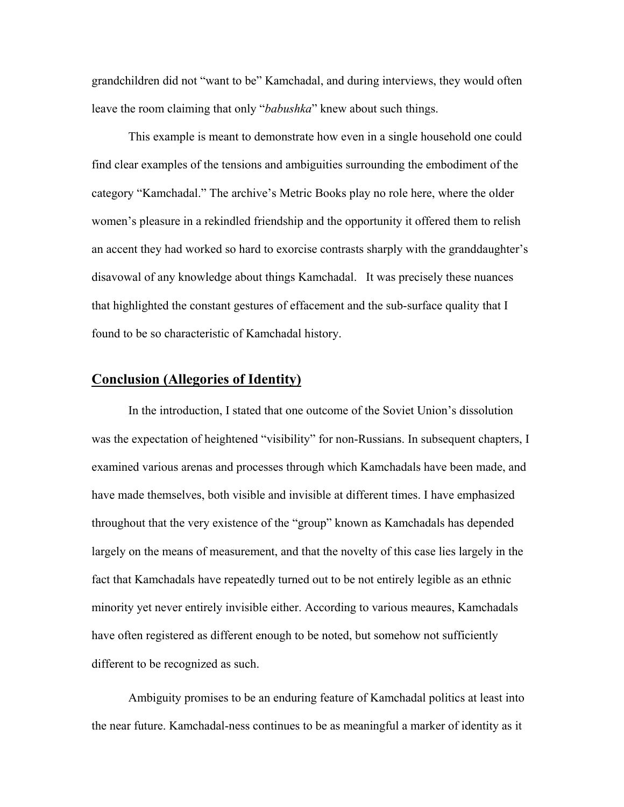grandchildren did not "want to be" Kamchadal, and during interviews, they would often leave the room claiming that only "*babushka*" knew about such things.

This example is meant to demonstrate how even in a single household one could find clear examples of the tensions and ambiguities surrounding the embodiment of the category "Kamchadal." The archive's Metric Books play no role here, where the older women's pleasure in a rekindled friendship and the opportunity it offered them to relish an accent they had worked so hard to exorcise contrasts sharply with the granddaughter's disavowal of any knowledge about things Kamchadal. It was precisely these nuances that highlighted the constant gestures of effacement and the sub-surface quality that I found to be so characteristic of Kamchadal history.

# **Conclusion (Allegories of Identity)**

In the introduction, I stated that one outcome of the Soviet Union's dissolution was the expectation of heightened "visibility" for non-Russians. In subsequent chapters, I examined various arenas and processes through which Kamchadals have been made, and have made themselves, both visible and invisible at different times. I have emphasized throughout that the very existence of the "group" known as Kamchadals has depended largely on the means of measurement, and that the novelty of this case lies largely in the fact that Kamchadals have repeatedly turned out to be not entirely legible as an ethnic minority yet never entirely invisible either. According to various meaures, Kamchadals have often registered as different enough to be noted, but somehow not sufficiently different to be recognized as such.

Ambiguity promises to be an enduring feature of Kamchadal politics at least into the near future. Kamchadal-ness continues to be as meaningful a marker of identity as it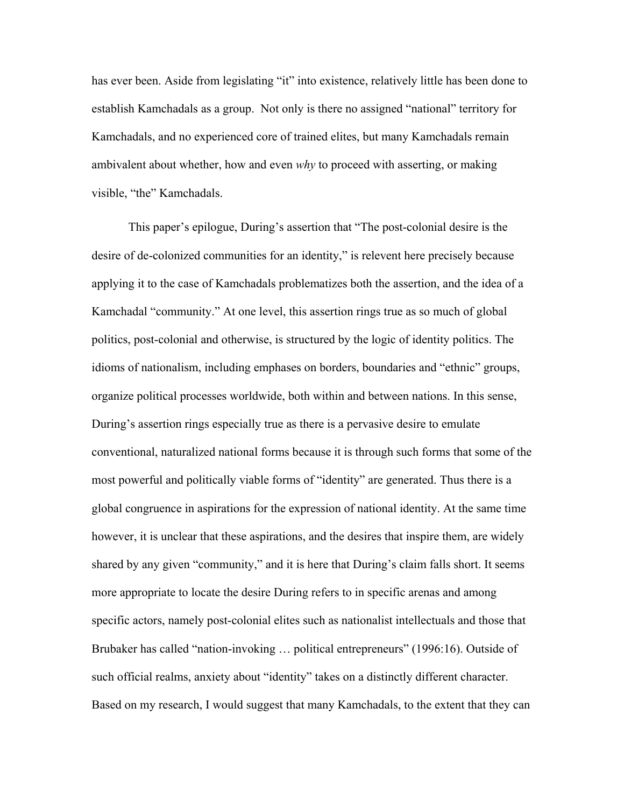has ever been. Aside from legislating "it" into existence, relatively little has been done to establish Kamchadals as a group. Not only is there no assigned "national" territory for Kamchadals, and no experienced core of trained elites, but many Kamchadals remain ambivalent about whether, how and even *why* to proceed with asserting, or making visible, "the" Kamchadals.

This paper's epilogue, During's assertion that "The post-colonial desire is the desire of de-colonized communities for an identity," is relevent here precisely because applying it to the case of Kamchadals problematizes both the assertion, and the idea of a Kamchadal "community." At one level, this assertion rings true as so much of global politics, post-colonial and otherwise, is structured by the logic of identity politics. The idioms of nationalism, including emphases on borders, boundaries and "ethnic" groups, organize political processes worldwide, both within and between nations. In this sense, During's assertion rings especially true as there is a pervasive desire to emulate conventional, naturalized national forms because it is through such forms that some of the most powerful and politically viable forms of "identity" are generated. Thus there is a global congruence in aspirations for the expression of national identity. At the same time however, it is unclear that these aspirations, and the desires that inspire them, are widely shared by any given "community," and it is here that During's claim falls short. It seems more appropriate to locate the desire During refers to in specific arenas and among specific actors, namely post-colonial elites such as nationalist intellectuals and those that Brubaker has called "nation-invoking … political entrepreneurs" (1996:16). Outside of such official realms, anxiety about "identity" takes on a distinctly different character. Based on my research, I would suggest that many Kamchadals, to the extent that they can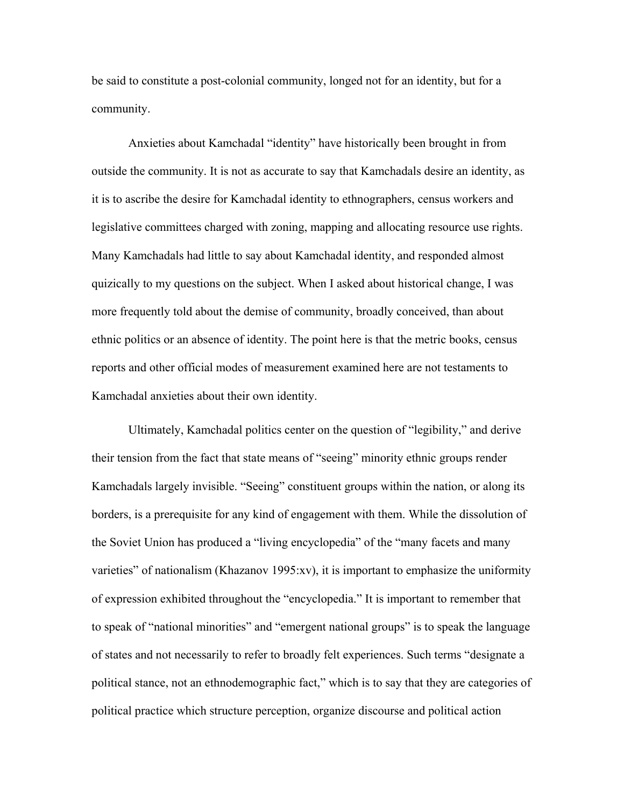be said to constitute a post-colonial community, longed not for an identity, but for a community.

Anxieties about Kamchadal "identity" have historically been brought in from outside the community. It is not as accurate to say that Kamchadals desire an identity, as it is to ascribe the desire for Kamchadal identity to ethnographers, census workers and legislative committees charged with zoning, mapping and allocating resource use rights. Many Kamchadals had little to say about Kamchadal identity, and responded almost quizically to my questions on the subject. When I asked about historical change, I was more frequently told about the demise of community, broadly conceived, than about ethnic politics or an absence of identity. The point here is that the metric books, census reports and other official modes of measurement examined here are not testaments to Kamchadal anxieties about their own identity.

Ultimately, Kamchadal politics center on the question of "legibility," and derive their tension from the fact that state means of "seeing" minority ethnic groups render Kamchadals largely invisible. "Seeing" constituent groups within the nation, or along its borders, is a prerequisite for any kind of engagement with them. While the dissolution of the Soviet Union has produced a "living encyclopedia" of the "many facets and many varieties" of nationalism (Khazanov 1995:xv), it is important to emphasize the uniformity of expression exhibited throughout the "encyclopedia." It is important to remember that to speak of "national minorities" and "emergent national groups" is to speak the language of states and not necessarily to refer to broadly felt experiences. Such terms "designate a political stance, not an ethnodemographic fact," which is to say that they are categories of political practice which structure perception, organize discourse and political action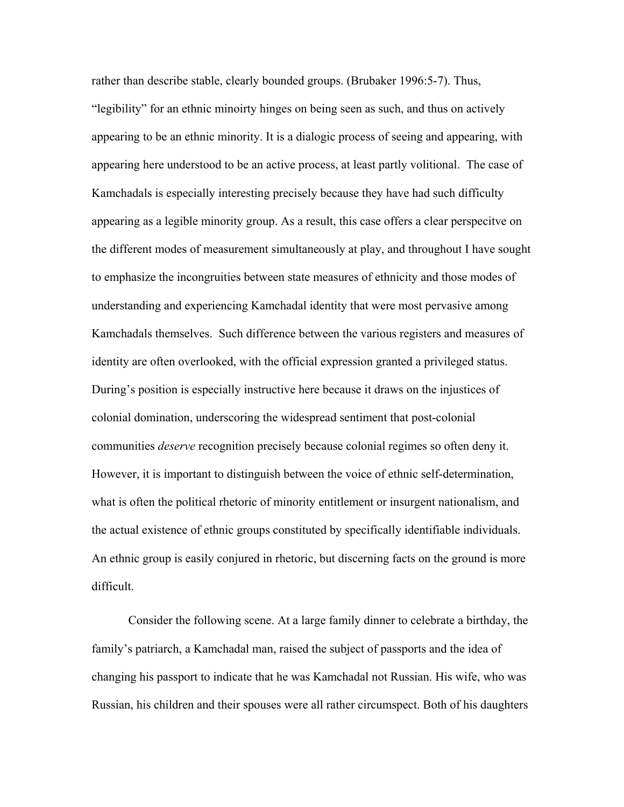rather than describe stable, clearly bounded groups. (Brubaker 1996:5-7). Thus, "legibility" for an ethnic minoirty hinges on being seen as such, and thus on actively appearing to be an ethnic minority. It is a dialogic process of seeing and appearing, with appearing here understood to be an active process, at least partly volitional. The case of Kamchadals is especially interesting precisely because they have had such difficulty appearing as a legible minority group. As a result, this case offers a clear perspecitve on the different modes of measurement simultaneously at play, and throughout I have sought to emphasize the incongruities between state measures of ethnicity and those modes of understanding and experiencing Kamchadal identity that were most pervasive among Kamchadals themselves. Such difference between the various registers and measures of identity are often overlooked, with the official expression granted a privileged status. During's position is especially instructive here because it draws on the injustices of colonial domination, underscoring the widespread sentiment that post-colonial communities *deserve* recognition precisely because colonial regimes so often deny it. However, it is important to distinguish between the voice of ethnic self-determination, what is often the political rhetoric of minority entitlement or insurgent nationalism, and the actual existence of ethnic groups constituted by specifically identifiable individuals. An ethnic group is easily conjured in rhetoric, but discerning facts on the ground is more difficult.

Consider the following scene. At a large family dinner to celebrate a birthday, the family's patriarch, a Kamchadal man, raised the subject of passports and the idea of changing his passport to indicate that he was Kamchadal not Russian. His wife, who was Russian, his children and their spouses were all rather circumspect. Both of his daughters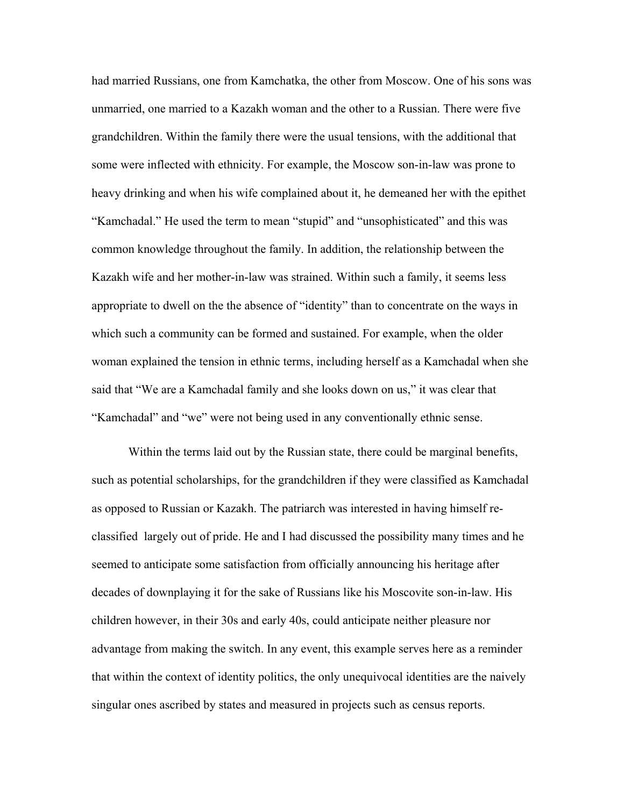had married Russians, one from Kamchatka, the other from Moscow. One of his sons was unmarried, one married to a Kazakh woman and the other to a Russian. There were five grandchildren. Within the family there were the usual tensions, with the additional that some were inflected with ethnicity. For example, the Moscow son-in-law was prone to heavy drinking and when his wife complained about it, he demeaned her with the epithet "Kamchadal." He used the term to mean "stupid" and "unsophisticated" and this was common knowledge throughout the family. In addition, the relationship between the Kazakh wife and her mother-in-law was strained. Within such a family, it seems less appropriate to dwell on the the absence of "identity" than to concentrate on the ways in which such a community can be formed and sustained. For example, when the older woman explained the tension in ethnic terms, including herself as a Kamchadal when she said that "We are a Kamchadal family and she looks down on us," it was clear that "Kamchadal" and "we" were not being used in any conventionally ethnic sense.

Within the terms laid out by the Russian state, there could be marginal benefits, such as potential scholarships, for the grandchildren if they were classified as Kamchadal as opposed to Russian or Kazakh. The patriarch was interested in having himself reclassified largely out of pride. He and I had discussed the possibility many times and he seemed to anticipate some satisfaction from officially announcing his heritage after decades of downplaying it for the sake of Russians like his Moscovite son-in-law. His children however, in their 30s and early 40s, could anticipate neither pleasure nor advantage from making the switch. In any event, this example serves here as a reminder that within the context of identity politics, the only unequivocal identities are the naively singular ones ascribed by states and measured in projects such as census reports.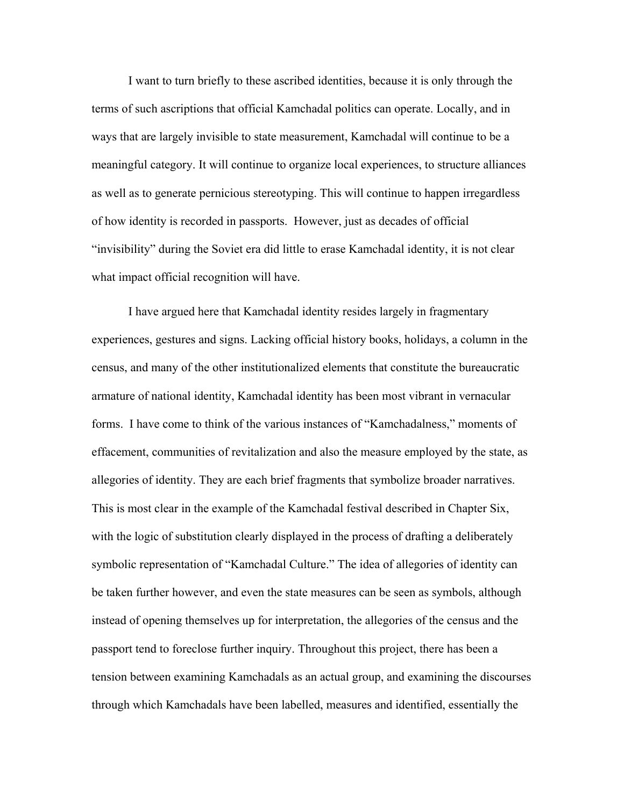I want to turn briefly to these ascribed identities, because it is only through the terms of such ascriptions that official Kamchadal politics can operate. Locally, and in ways that are largely invisible to state measurement, Kamchadal will continue to be a meaningful category. It will continue to organize local experiences, to structure alliances as well as to generate pernicious stereotyping. This will continue to happen irregardless of how identity is recorded in passports. However, just as decades of official "invisibility" during the Soviet era did little to erase Kamchadal identity, it is not clear what impact official recognition will have.

I have argued here that Kamchadal identity resides largely in fragmentary experiences, gestures and signs. Lacking official history books, holidays, a column in the census, and many of the other institutionalized elements that constitute the bureaucratic armature of national identity, Kamchadal identity has been most vibrant in vernacular forms. I have come to think of the various instances of "Kamchadalness," moments of effacement, communities of revitalization and also the measure employed by the state, as allegories of identity. They are each brief fragments that symbolize broader narratives. This is most clear in the example of the Kamchadal festival described in Chapter Six, with the logic of substitution clearly displayed in the process of drafting a deliberately symbolic representation of "Kamchadal Culture." The idea of allegories of identity can be taken further however, and even the state measures can be seen as symbols, although instead of opening themselves up for interpretation, the allegories of the census and the passport tend to foreclose further inquiry. Throughout this project, there has been a tension between examining Kamchadals as an actual group, and examining the discourses through which Kamchadals have been labelled, measures and identified, essentially the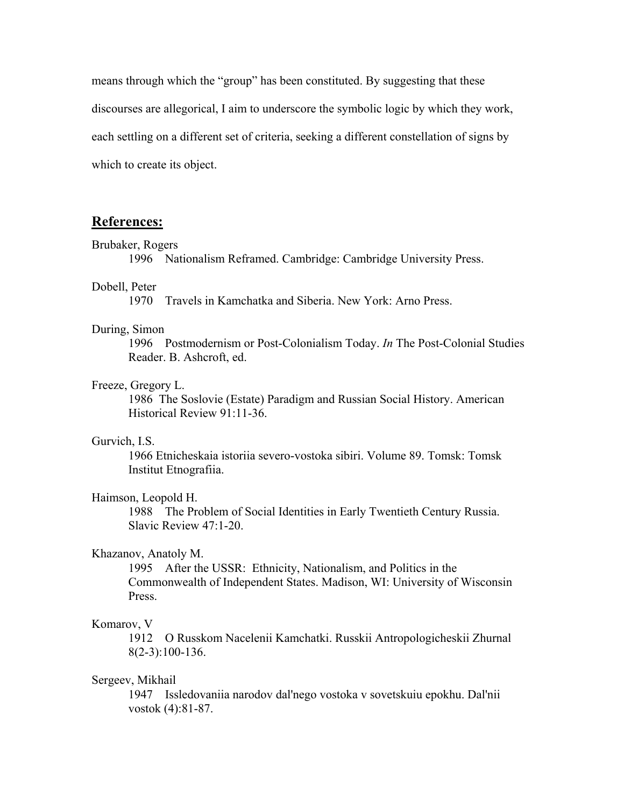means through which the "group" has been constituted. By suggesting that these discourses are allegorical, I aim to underscore the symbolic logic by which they work, each settling on a different set of criteria, seeking a different constellation of signs by which to create its object.

# **References:**

#### Brubaker, Rogers

1996 Nationalism Reframed. Cambridge: Cambridge University Press.

# Dobell, Peter

1970 Travels in Kamchatka and Siberia. New York: Arno Press.

#### During, Simon

1996 Postmodernism or Post-Colonialism Today. *In* The Post-Colonial Studies Reader. B. Ashcroft, ed.

#### Freeze, Gregory L.

1986 The Soslovie (Estate) Paradigm and Russian Social History. American Historical Review 91:11-36.

### Gurvich, I.S.

1966 Etnicheskaia istoriia severo-vostoka sibiri. Volume 89. Tomsk: Tomsk Institut Etnografiia.

#### Haimson, Leopold H.

1988 The Problem of Social Identities in Early Twentieth Century Russia. Slavic Review 47:1-20.

# Khazanov, Anatoly M.

 1995 After the USSR: Ethnicity, Nationalism, and Politics in the Commonwealth of Independent States. Madison, WI: University of Wisconsin Press.

## Komarov, V

1912 O Russkom Nacelenii Kamchatki. Russkii Antropologicheskii Zhurnal 8(2-3):100-136.

# Sergeev, Mikhail

 1947 Issledovaniia narodov dal'nego vostoka v sovetskuiu epokhu. Dal'nii vostok (4):81-87.